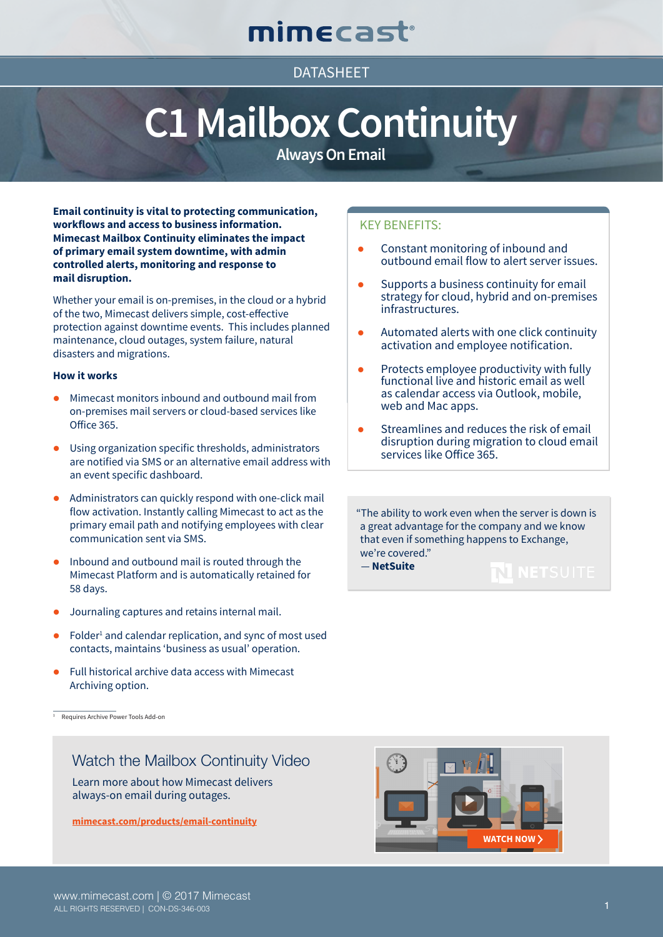# mimecast®

## **DATASHFFT**

# **C1 Mailbox Continuity**

**Always On Email**

**Email continuity is vital to protecting communication, workflows and access to business information. Mimecast Mailbox Continuity eliminates the impact of primary email system downtime, with admin controlled alerts, monitoring and response to mail disruption.**

Whether your email is on-premises, in the cloud or a hybrid of the two, Mimecast delivers simple, cost-effective protection against downtime events. This includes planned maintenance, cloud outages, system failure, natural disasters and migrations.

### **How it works**

- $\bullet$  Mimecast monitors inbound and outbound mail from on-premises mail servers or cloud-based services like Office 365.
- **.** Using organization specific thresholds, administrators are notified via SMS or an alternative email address with an event specific dashboard.
- $\bullet$  Administrators can quickly respond with one-click mail flow activation. Instantly calling Mimecast to act as the primary email path and notifying employees with clear communication sent via SMS.
- l Inbound and outbound mail is routed through the Mimecast Platform and is automatically retained for 58 days.
- l Journaling captures and retains internal mail.
- $\bullet$  Folder<sup>1</sup> and calendar replication, and sync of most used contacts, maintains 'business as usual' operation.
- l Full historical archive data access with Mimecast Archiving option.

1 Requires Archive Power Tools Add-on

## Watch the Mailbox Continuity Video

Learn more about how Mimecast delivers always-on email during outages.

**[mimecast.com/products/email-continuity](https://www.mimecast.com/products/email-continuity)**



KEY BENEFITS:

- $\bullet$  Constant monitoring of inbound and outbound email flow to alert server issues.
- Supports a business continuity for email strategy for cloud, hybrid and on-premises infrastructures.
- $\bullet$  Automated alerts with one click continuity activation and employee notification.
- $\bullet$  Protects employee productivity with fully functional live and historic email as well as calendar access via Outlook, mobile, web and Mac apps.
- Streamlines and reduces the risk of email disruption during migration to cloud email services like Office 365.

"The ability to work even when the server is down is a great advantage for the company and we know that even if something happens to Exchange, we're covered."

 $\bf N$  netsuite

— **NetSuite**